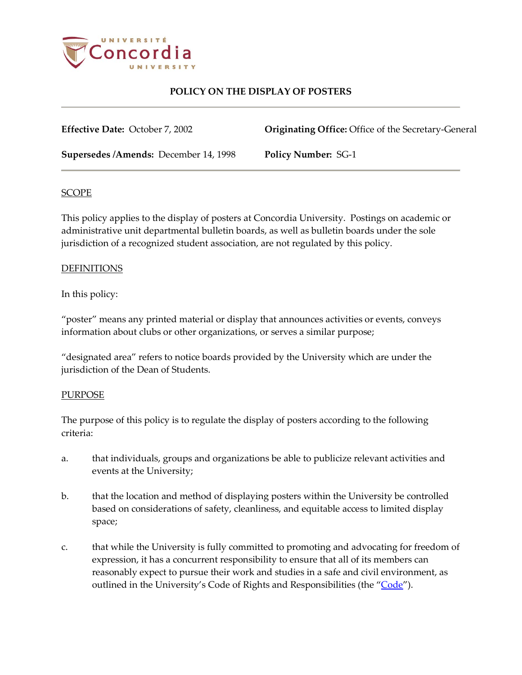

**Effective Date:** October 7, 2002 **Originating Office:** Office of the Secretary-General

**Supersedes /Amends:** December 14, 1998 **Policy Number:** SG-1

## **SCOPE**

This policy applies to the display of posters at Concordia University. Postings on academic or administrative unit departmental bulletin boards, as well as bulletin boards under the sole jurisdiction of a recognized student association, are not regulated by this policy.

### DEFINITIONS

In this policy:

"poster" means any printed material or display that announces activities or events, conveys information about clubs or other organizations, or serves a similar purpose;

"designated area" refers to notice boards provided by the University which are under the jurisdiction of the Dean of Students.

## PURPOSE

The purpose of this policy is to regulate the display of posters according to the following criteria:

- a. that individuals, groups and organizations be able to publicize relevant activities and events at the University;
- b. that the location and method of displaying posters within the University be controlled based on considerations of safety, cleanliness, and equitable access to limited display space;
- c. that while the University is fully committed to promoting and advocating for freedom of expression, it has a concurrent responsibility to ensure that all of its members can reasonably expect to pursue their work and studies in a safe and civil environment, as outlined in the University's Code of Rights and Responsibilities (the ["Code"](http://www.concordia.ca/content/dam/common/docs/policies/official-policies/BD-3.pdf)).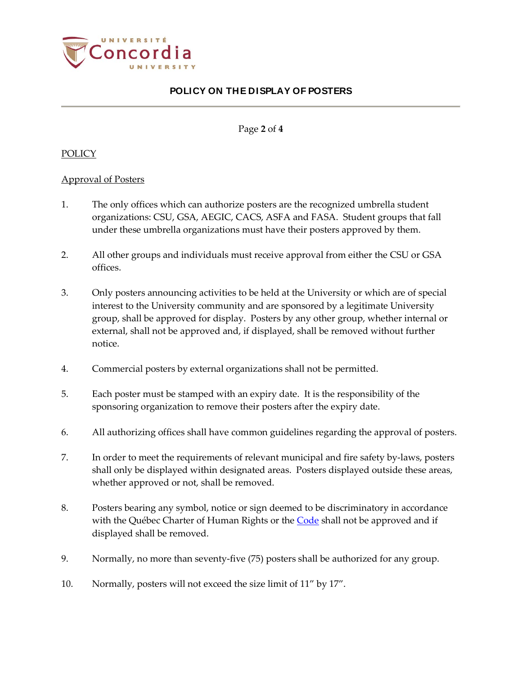

Page **2** of **4**

### **POLICY**

## Approval of Posters

- 1. The only offices which can authorize posters are the recognized umbrella student organizations: CSU, GSA, AEGIC, CACS, ASFA and FASA. Student groups that fall under these umbrella organizations must have their posters approved by them.
- 2. All other groups and individuals must receive approval from either the CSU or GSA offices.
- 3. Only posters announcing activities to be held at the University or which are of special interest to the University community and are sponsored by a legitimate University group, shall be approved for display. Posters by any other group, whether internal or external, shall not be approved and, if displayed, shall be removed without further notice.
- 4. Commercial posters by external organizations shall not be permitted.
- 5. Each poster must be stamped with an expiry date. It is the responsibility of the sponsoring organization to remove their posters after the expiry date.
- 6. All authorizing offices shall have common guidelines regarding the approval of posters.
- 7. In order to meet the requirements of relevant municipal and fire safety by-laws, posters shall only be displayed within designated areas. Posters displayed outside these areas, whether approved or not, shall be removed.
- 8. Posters bearing any symbol, notice or sign deemed to be discriminatory in accordance with the Québec Charter of Human Rights or the [Code](http://www.concordia.ca/content/dam/common/docs/policies/official-policies/BD-3.pdf) shall not be approved and if displayed shall be removed.
- 9. Normally, no more than seventy-five (75) posters shall be authorized for any group.
- 10. Normally, posters will not exceed the size limit of 11" by 17".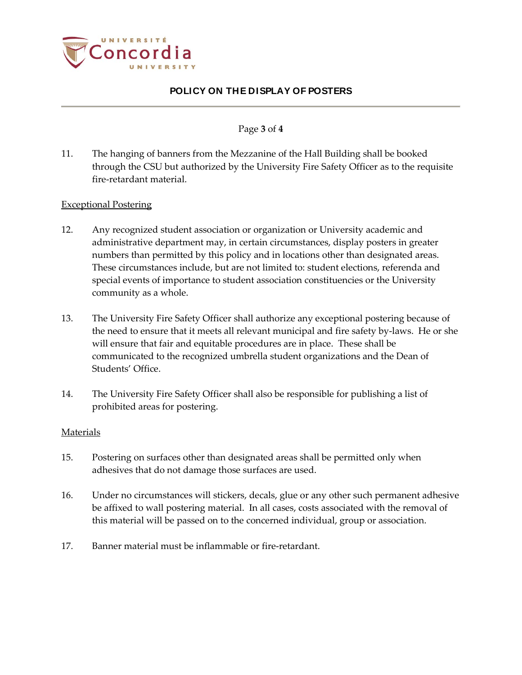

### Page **3** of **4**

11. The hanging of banners from the Mezzanine of the Hall Building shall be booked through the CSU but authorized by the University Fire Safety Officer as to the requisite fire-retardant material.

### Exceptional Postering

- 12. Any recognized student association or organization or University academic and administrative department may, in certain circumstances, display posters in greater numbers than permitted by this policy and in locations other than designated areas. These circumstances include, but are not limited to: student elections, referenda and special events of importance to student association constituencies or the University community as a whole.
- 13. The University Fire Safety Officer shall authorize any exceptional postering because of the need to ensure that it meets all relevant municipal and fire safety by-laws. He or she will ensure that fair and equitable procedures are in place. These shall be communicated to the recognized umbrella student organizations and the Dean of Students' Office.
- 14. The University Fire Safety Officer shall also be responsible for publishing a list of prohibited areas for postering.

#### Materials

- 15. Postering on surfaces other than designated areas shall be permitted only when adhesives that do not damage those surfaces are used.
- 16. Under no circumstances will stickers, decals, glue or any other such permanent adhesive be affixed to wall postering material. In all cases, costs associated with the removal of this material will be passed on to the concerned individual, group or association.
- 17. Banner material must be inflammable or fire-retardant.